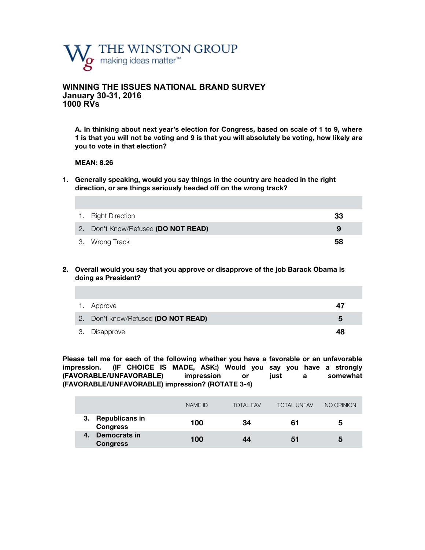

## **WINNING THE ISSUES NATIONAL BRAND SURVEY January 30-31, 2016 1000 RVs**

**A. In thinking about next year's election for Congress, based on scale of 1 to 9, where 1 is that you will not be voting and 9 is that you will absolutely be voting, how likely are you to vote in that election?**

#### **MEAN: 8.26**

**1. Generally speaking, would you say things in the country are headed in the right direction, or are things seriously headed off on the wrong track?** 

| 1. Right Direction                  | 33 |
|-------------------------------------|----|
| 2. Don't Know/Refused (DO NOT READ) |    |
| 3. Wrong Track                      | 58 |

**2. Overall would you say that you approve or disapprove of the job Barack Obama is doing as President?**

| 1. Approve                          | 47 |
|-------------------------------------|----|
| 2. Don't know/Refused (DO NOT READ) | 5  |
| 3. Disapprove                       | 48 |

**Please tell me for each of the following whether you have a favorable or an unfavorable impression. (IF CHOICE IS MADE, ASK:) Would you say you have a strongly (FAVORABLE/UNFAVORABLE) impression or just a somewhat (FAVORABLE/UNFAVORABLE) impression? (ROTATE 3-4)**

|                                                | NAME ID | <b>TOTAL FAV</b> | <b>TOTAL UNFAV</b> | NO OPINION |
|------------------------------------------------|---------|------------------|--------------------|------------|
| <b>Republicans in</b><br><b>Congress</b>       | 100     | 34               | 61                 | 5          |
| <b>Democrats in</b><br>$-4$<br><b>Congress</b> | 100     | 44               | 51                 | 5          |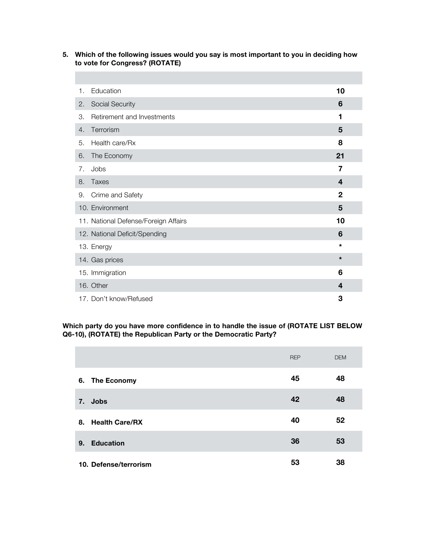## **5. Which of the following issues would you say is most important to you in deciding how to vote for Congress? (ROTATE)**

г

| 1. | Education                            | 10           |  |
|----|--------------------------------------|--------------|--|
| 2. | <b>Social Security</b>               | 6            |  |
| 3. | Retirement and Investments           | 1            |  |
| 4. | Terrorism                            | 5            |  |
| 5. | Health care/Rx                       | 8            |  |
| 6. | The Economy                          | 21           |  |
| 7. | Jobs                                 | 7            |  |
| 8. | <b>Taxes</b>                         | 4            |  |
| 9. | Crime and Safety                     | $\mathbf{2}$ |  |
|    | 10. Environment                      | 5            |  |
|    | 11. National Defense/Foreign Affairs | 10           |  |
|    | 12. National Deficit/Spending        | 6            |  |
|    | 13. Energy                           | $\star$      |  |
|    | 14. Gas prices                       | $\star$      |  |
|    | 15. Immigration                      | 6            |  |
|    | 16. Other                            | 4            |  |
|    | 17. Don't know/Refused               | 3            |  |

**Which party do you have more confidence in to handle the issue of (ROTATE LIST BELOW Q6-10), (ROTATE) the Republican Party or the Democratic Party?** 

|                             | <b>REP</b> | <b>DEM</b> |
|-----------------------------|------------|------------|
| 6. The Economy              | 45         | 48         |
| 7. Jobs                     | 42         | 48         |
| <b>Health Care/RX</b><br>8. | 40         | 52         |
| <b>Education</b><br>9.      | 36         | 53         |
| 10. Defense/terrorism       | 53         | 38         |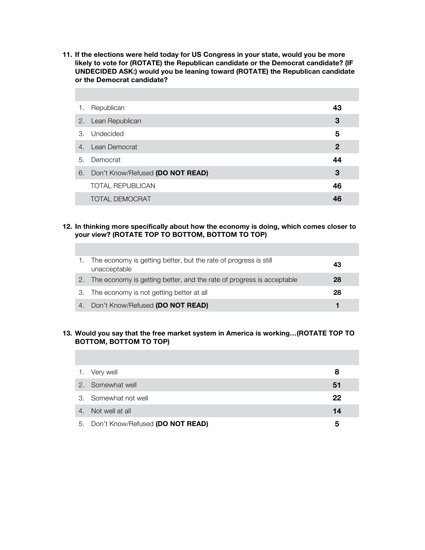**11. If the elections were held today for US Congress in your state, would you be more likely to vote for (ROTATE) the Republican candidate or the Democrat candidate? (IF UNDECIDED ASK:) would you be leaning toward (ROTATE) the Republican candidate or the Democrat candidate?**

÷

П

| 1. | Republican                       | 43 |
|----|----------------------------------|----|
| 2. | Lean Republican                  | 3  |
|    | 3. Undecided                     | 5  |
| 4. | Lean Democrat                    | 2  |
| 5. | Democrat                         | 44 |
| 6. | Don't Know/Refused (DO NOT READ) | 3  |
|    | <b>TOTAL REPUBLICAN</b>          | 46 |
|    | <b>TOTAL DEMOCRAT</b>            |    |

### **12. In thinking more specifically about how the economy is doing, which comes closer to your view? (ROTATE TOP TO BOTTOM, BOTTOM TO TOP)**

|                  | The economy is getting better, but the rate of progress is still<br>unacceptable | 43 |
|------------------|----------------------------------------------------------------------------------|----|
| $\overline{2}$ . | The economy is getting better, and the rate of progress is acceptable            | 28 |
|                  | 3. The economy is not getting better at all                                      | 28 |
|                  | 4. Don't Know/Refused (DO NOT READ)                                              |    |

### **13. Would you say that the free market system in America is working…(ROTATE TOP TO BOTTOM, BOTTOM TO TOP)**

| 1. Very well                        | 8  |
|-------------------------------------|----|
| 2. Somewhat well                    | 51 |
| 3. Somewhat not well                | 22 |
| 4. Not well at all                  | 14 |
| 5. Don't Know/Refused (DO NOT READ) | 5  |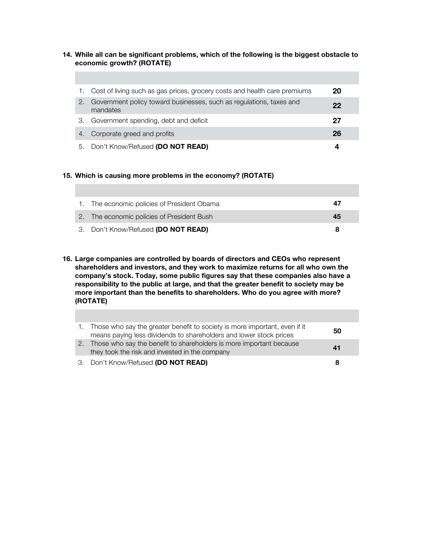### **14. While all can be significant problems, which of the following is the biggest obstacle to economic growth? (ROTATE)**

|    | Cost of living such as gas prices, grocery costs and health care premiums       | 20 |
|----|---------------------------------------------------------------------------------|----|
| 2. | Government policy toward businesses, such as regulations, taxes and<br>mandates | 22 |
| З. | Government spending, debt and deficit                                           | 27 |
| 4. | Corporate greed and profits                                                     | 26 |
| 5. | Don't Know/Refused (DO NOT READ)                                                | 4  |

### **15. Which is causing more problems in the economy? (ROTATE)**

| 1. The economic policies of President Obama | 47 |
|---------------------------------------------|----|
| 2. The economic policies of President Bush  | 45 |
| 3. Don't Know/Refused (DO NOT READ)         | 8  |

**16. Large companies are controlled by boards of directors and CEOs who represent shareholders and investors, and they work to maximize returns for all who own the company's stock. Today, some public figures say that these companies also have a responsibility to the public at large, and that the greater benefit to society may be more important than the benefits to shareholders. Who do you agree with more? (ROTATE)**

| Those who say the greater benefit to society is more important, even if it<br>means paying less dividends to shareholders and lower stock prices | 50 |
|--------------------------------------------------------------------------------------------------------------------------------------------------|----|
| Those who say the benefit to shareholders is more important because<br>they took the risk and invested in the company                            | 41 |
| 3. Don't Know/Refused (DO NOT READ)                                                                                                              | 8  |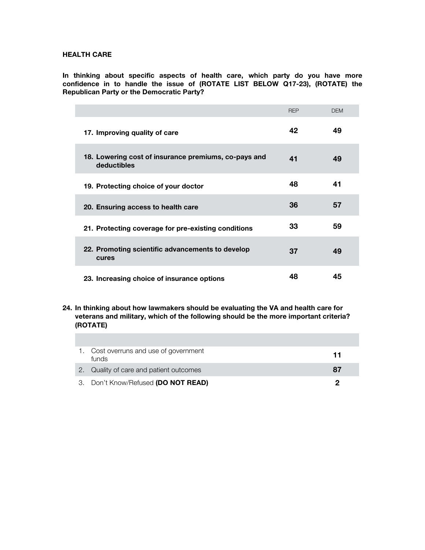#### **HEALTH CARE**

**In thinking about specific aspects of health care, which party do you have more confidence in to handle the issue of (ROTATE LIST BELOW Q17-23), (ROTATE) the Republican Party or the Democratic Party?** 

|                                                                     | <b>REP</b> | <b>DEM</b> |
|---------------------------------------------------------------------|------------|------------|
| 17. Improving quality of care                                       | 42         | 49         |
| 18. Lowering cost of insurance premiums, co-pays and<br>deductibles | 41         | 49         |
| 19. Protecting choice of your doctor                                | 48         | 41         |
| 20. Ensuring access to health care                                  | 36         | 57         |
| 21. Protecting coverage for pre-existing conditions                 | 33         | 59         |
| 22. Promoting scientific advancements to develop<br>cures           | 37         | 49         |
| 23. Increasing choice of insurance options                          | 48         | 45         |

#### **24. In thinking about how lawmakers should be evaluating the VA and health care for veterans and military, which of the following should be the more important criteria? (ROTATE)**

| 1. Cost overruns and use of government<br>funds | 11 |
|-------------------------------------------------|----|
| 2. Quality of care and patient outcomes         | 87 |
| 3. Don't Know/Refused (DO NOT READ)             |    |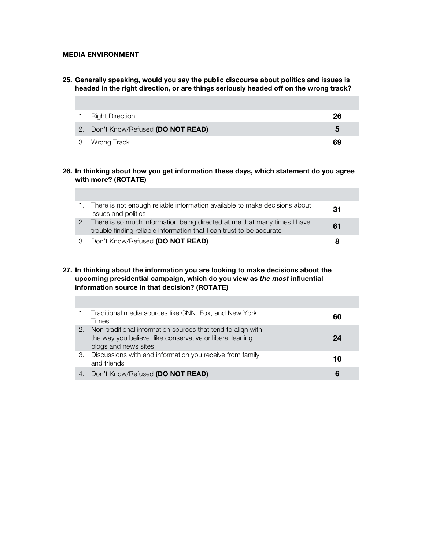## **MEDIA ENVIRONMENT**

i.

**25. Generally speaking, would you say the public discourse about politics and issues is headed in the right direction, or are things seriously headed off on the wrong track?** 

| 1. Right Direction                  | 26 |
|-------------------------------------|----|
| 2. Don't Know/Refused (DO NOT READ) | 5  |
| 3. Wrong Track                      | 69 |

**26. In thinking about how you get information these days, which statement do you agree with more? (ROTATE)** 

| 1. There is not enough reliable information available to make decisions about<br>issues and politics                                                | 31 |
|-----------------------------------------------------------------------------------------------------------------------------------------------------|----|
| 2. There is so much information being directed at me that many times I have<br>trouble finding reliable information that I can trust to be accurate | 61 |
| 3. Don't Know/Refused (DO NOT READ)                                                                                                                 | 8  |

#### **27. In thinking about the information you are looking to make decisions about the upcoming presidential campaign, which do you view as** *the most* **influential information source in that decision? (ROTATE)**

|    | 1. Traditional media sources like CNN, Fox, and New York<br>Times                                                                                | 60 |
|----|--------------------------------------------------------------------------------------------------------------------------------------------------|----|
| 2. | Non-traditional information sources that tend to align with<br>the way you believe, like conservative or liberal leaning<br>blogs and news sites | 24 |
| З. | Discussions with and information you receive from family<br>and friends                                                                          | 10 |
| 4. | Don't Know/Refused (DO NOT READ)                                                                                                                 | 6  |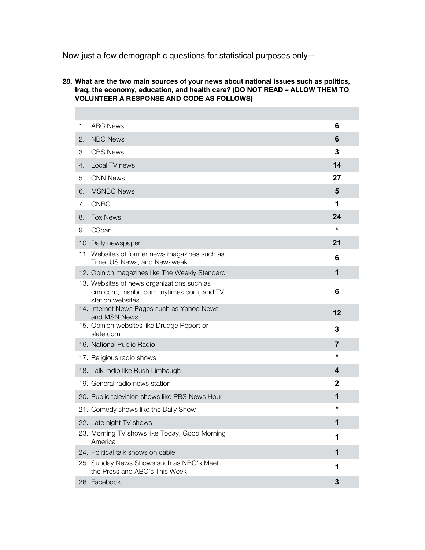Now just a few demographic questions for statistical purposes only—

П

## **28. What are the two main sources of your news about national issues such as politics, Iraq, the economy, education, and health care? (DO NOT READ – ALLOW THEM TO VOLUNTEER A RESPONSE AND CODE AS FOLLOWS)**

| 1. | <b>ABC News</b>                                                                                           | 6              |  |
|----|-----------------------------------------------------------------------------------------------------------|----------------|--|
| 2. | <b>NBC News</b>                                                                                           | 6              |  |
| З. | <b>CBS News</b>                                                                                           | 3              |  |
| 4. | Local TV news                                                                                             | 14             |  |
| 5. | <b>CNN News</b>                                                                                           | 27             |  |
| 6. | <b>MSNBC News</b>                                                                                         | 5              |  |
| 7. | <b>CNBC</b>                                                                                               | 1              |  |
| 8. | Fox News                                                                                                  | 24             |  |
| 9. | CSpan                                                                                                     | *              |  |
|    | 10. Daily newspaper                                                                                       | 21             |  |
|    | 11. Websites of former news magazines such as<br>Time, US News, and Newsweek                              | 6              |  |
|    | 12. Opinion magazines like The Weekly Standard                                                            | 1              |  |
|    | 13. Websites of news organizations such as<br>cnn.com, msnbc.com, nytimes.com, and TV<br>station websites | 6              |  |
|    | 14. Internet News Pages such as Yahoo News<br>and MSN News                                                | 12             |  |
|    | 15. Opinion websites like Drudge Report or<br>slate.com                                                   | 3              |  |
|    | 16. National Public Radio                                                                                 | $\overline{7}$ |  |
|    | 17. Religious radio shows                                                                                 | *              |  |
|    | 18. Talk radio like Rush Limbaugh                                                                         | 4              |  |
|    | 19. General radio news station                                                                            | $\mathbf{2}$   |  |
|    | 20. Public television shows like PBS News Hour                                                            | 1              |  |
|    | 21. Comedy shows like the Daily Show                                                                      | *              |  |
|    | 22. Late night TV shows                                                                                   | 1              |  |
|    | 23. Morning TV shows like Today, Good Morning<br>America                                                  | 1              |  |
|    | 24. Political talk shows on cable                                                                         | 1              |  |
|    | 25. Sunday News Shows such as NBC's Meet<br>the Press and ABC's This Week                                 | 1              |  |
|    | 26. Facebook                                                                                              | 3              |  |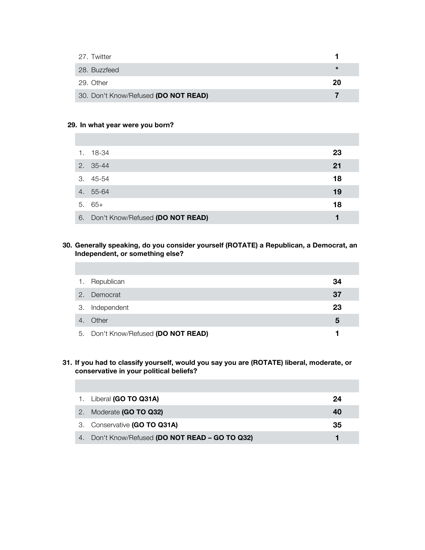| 27. Twitter                          |        |
|--------------------------------------|--------|
| 28. Buzzfeed                         | $\ast$ |
| 29. Other                            | 20     |
| 30. Don't Know/Refused (DO NOT READ) |        |

### **29. In what year were you born?**

| 1. | 18-34                               | 23 |
|----|-------------------------------------|----|
|    | 2. 35-44                            | 21 |
|    | $3.45 - 54$                         | 18 |
|    | 4. 55-64                            | 19 |
|    | $5.65+$                             | 18 |
|    | 6. Don't Know/Refused (DO NOT READ) |    |

## **30. Generally speaking, do you consider yourself (ROTATE) a Republican, a Democrat, an Independent, or something else?**

| 1.             | Republican                          | 34 |
|----------------|-------------------------------------|----|
|                | 2. Democrat                         | 37 |
| 3.             | Independent                         | 23 |
| $\overline{4}$ | Other                               | 5  |
|                | 5. Don't Know/Refused (DO NOT READ) |    |

### **31. If you had to classify yourself, would you say you are (ROTATE) liberal, moderate, or conservative in your political beliefs?**

| 1. Liberal (GO TO Q31A)                         | 24 |
|-------------------------------------------------|----|
| 2. Moderate (GO TO Q32)                         | 40 |
| 3. Conservative (GO TO Q31A)                    | 35 |
| 4. Don't Know/Refused (DO NOT READ - GO TO Q32) |    |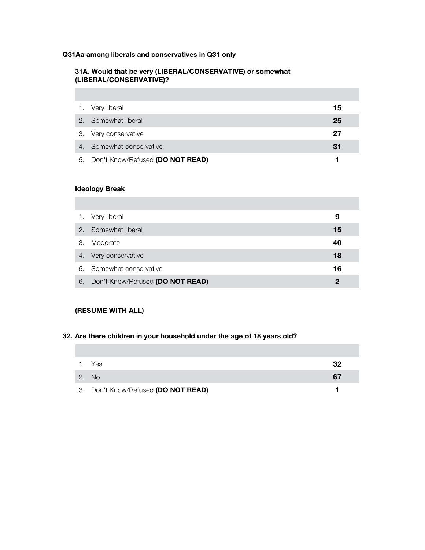# **Q31Aa among liberals and conservatives in Q31 only**

## **31A. Would that be very (LIBERAL/CONSERVATIVE) or somewhat (LIBERAL/CONSERVATIVE)?**

| 1. Very liberal                     | 15 |
|-------------------------------------|----|
| 2. Somewhat liberal                 | 25 |
| 3. Very conservative                | 27 |
| 4. Somewhat conservative            | 31 |
| 5. Don't Know/Refused (DO NOT READ) |    |

# **Ideology Break**

**COL** 

T.

п

| 1.            | Very liberal                     | 9  |
|---------------|----------------------------------|----|
| $\mathcal{P}$ | Somewhat liberal                 | 15 |
| 3.            | Moderate                         | 40 |
| 4.            | Very conservative                | 18 |
|               | 5. Somewhat conservative         | 16 |
| 6.            | Don't Know/Refused (DO NOT READ) | 2  |

# **(RESUME WITH ALL)**

## **32. Are there children in your household under the age of 18 years old?**

|              | 1. Yes                              | 32 |
|--------------|-------------------------------------|----|
| $\sqrt{2.7}$ | - No                                | 67 |
|              | 3. Don't Know/Refused (DO NOT READ) |    |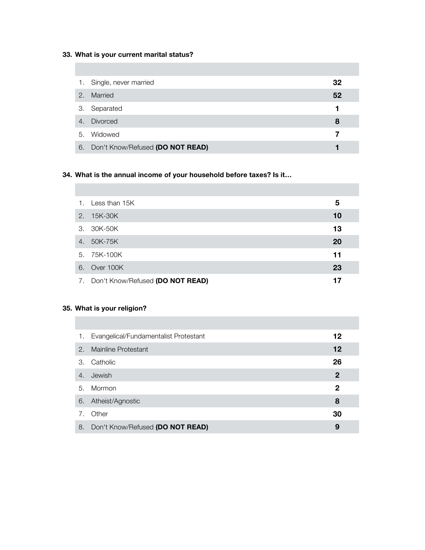# **33. What is your current marital status?**

п

| 1.               | Single, never married            | 32 |
|------------------|----------------------------------|----|
| 2.               | Married                          | 52 |
| 3.               | Separated                        |    |
| $\overline{4}$ . | <b>Divorced</b>                  | 8  |
| 5.               | Widowed                          | 7  |
| 6.               | Don't Know/Refused (DO NOT READ) |    |

# **34. What is the annual income of your household before taxes? Is it…**

|    | 1. Less than 15K                    | 5  |
|----|-------------------------------------|----|
| 2. | 15K-30K                             | 10 |
|    | 3. 30K-50K                          | 13 |
| 4. | 50K-75K                             | 20 |
|    | 5. 75K-100K                         | 11 |
|    | 6. Over 100K                        | 23 |
|    | 7. Don't Know/Refused (DO NOT READ) | 17 |

# **35. What is your religion?**

| 1. | Evangelical/Fundamentalist Protestant | 12           |
|----|---------------------------------------|--------------|
| 2. | Mainline Protestant                   | 12           |
| 3. | Catholic                              | 26           |
| 4. | Jewish                                | $\mathbf{2}$ |
| 5. | Mormon                                | 2            |
|    | 6. Atheist/Agnostic                   | 8            |
| 7. | Other                                 | 30           |
| 8. | Don't Know/Refused (DO NOT READ)      | 9            |